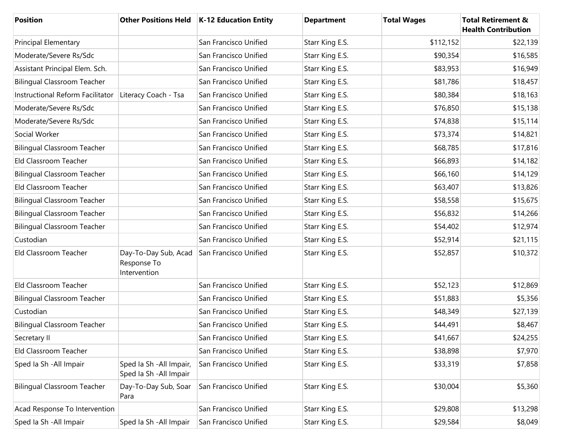| <b>Position</b>                    |                                                     | Other Positions Held   K-12 Education Entity | <b>Department</b> | <b>Total Wages</b> | <b>Total Retirement &amp;</b><br><b>Health Contribution</b> |
|------------------------------------|-----------------------------------------------------|----------------------------------------------|-------------------|--------------------|-------------------------------------------------------------|
| <b>Principal Elementary</b>        |                                                     | San Francisco Unified                        | Starr King E.S.   | \$112,152          | \$22,139                                                    |
| Moderate/Severe Rs/Sdc             |                                                     | San Francisco Unified                        | Starr King E.S.   | \$90,354           | \$16,585                                                    |
| Assistant Principal Elem. Sch.     |                                                     | San Francisco Unified                        | Starr King E.S.   | \$83,953           | \$16,949                                                    |
| <b>Bilingual Classroom Teacher</b> |                                                     | San Francisco Unified                        | Starr King E.S.   | \$81,786           | \$18,457                                                    |
| Instructional Reform Facilitator   | Literacy Coach - Tsa                                | San Francisco Unified                        | Starr King E.S.   | \$80,384           | \$18,163                                                    |
| Moderate/Severe Rs/Sdc             |                                                     | San Francisco Unified                        | Starr King E.S.   | \$76,850           | \$15,138                                                    |
| Moderate/Severe Rs/Sdc             |                                                     | San Francisco Unified                        | Starr King E.S.   | \$74,838           | \$15,114                                                    |
| Social Worker                      |                                                     | San Francisco Unified                        | Starr King E.S.   | \$73,374           | \$14,821                                                    |
| <b>Bilingual Classroom Teacher</b> |                                                     | San Francisco Unified                        | Starr King E.S.   | \$68,785           | \$17,816                                                    |
| Eld Classroom Teacher              |                                                     | San Francisco Unified                        | Starr King E.S.   | \$66,893           | \$14,182                                                    |
| <b>Bilingual Classroom Teacher</b> |                                                     | San Francisco Unified                        | Starr King E.S.   | \$66,160           | \$14,129                                                    |
| Eld Classroom Teacher              |                                                     | San Francisco Unified                        | Starr King E.S.   | \$63,407           | \$13,826                                                    |
| <b>Bilingual Classroom Teacher</b> |                                                     | San Francisco Unified                        | Starr King E.S.   | \$58,558           | \$15,675                                                    |
| <b>Bilingual Classroom Teacher</b> |                                                     | San Francisco Unified                        | Starr King E.S.   | \$56,832           | \$14,266                                                    |
| <b>Bilingual Classroom Teacher</b> |                                                     | San Francisco Unified                        | Starr King E.S.   | \$54,402           | \$12,974                                                    |
| Custodian                          |                                                     | San Francisco Unified                        | Starr King E.S.   | \$52,914           | \$21,115                                                    |
| Eld Classroom Teacher              | Day-To-Day Sub, Acad<br>Response To<br>Intervention | San Francisco Unified                        | Starr King E.S.   | \$52,857           | \$10,372                                                    |
| Eld Classroom Teacher              |                                                     | San Francisco Unified                        | Starr King E.S.   | \$52,123           | \$12,869                                                    |
| <b>Bilingual Classroom Teacher</b> |                                                     | San Francisco Unified                        | Starr King E.S.   | \$51,883           | \$5,356                                                     |
| Custodian                          |                                                     | San Francisco Unified                        | Starr King E.S.   | \$48,349           | \$27,139                                                    |
| <b>Bilingual Classroom Teacher</b> |                                                     | San Francisco Unified                        | Starr King E.S.   | \$44,491           | \$8,467                                                     |
| Secretary II                       |                                                     | San Francisco Unified                        | Starr King E.S.   | \$41,667           | \$24,255                                                    |
| Eld Classroom Teacher              |                                                     | San Francisco Unified                        | Starr King E.S.   | \$38,898           | \$7,970                                                     |
| Sped Ia Sh - All Impair            | Sped Ia Sh - All Impair,<br>Sped Ia Sh - All Impair | San Francisco Unified                        | Starr King E.S.   | \$33,319           | \$7,858                                                     |
| <b>Bilingual Classroom Teacher</b> | Day-To-Day Sub, Soar<br>Para                        | San Francisco Unified                        | Starr King E.S.   | \$30,004           | \$5,360                                                     |
| Acad Response To Intervention      |                                                     | San Francisco Unified                        | Starr King E.S.   | \$29,808           | \$13,298                                                    |
| Sped Ia Sh - All Impair            | Sped la Sh - All Impair                             | San Francisco Unified                        | Starr King E.S.   | \$29,584           | \$8,049                                                     |